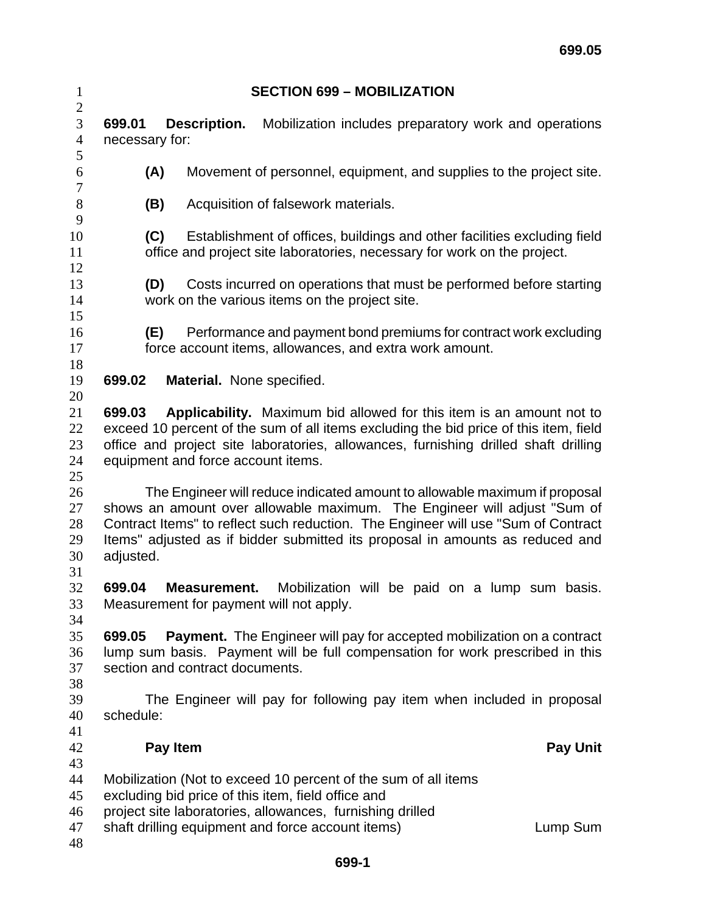| $\mathbf{1}$                     | <b>SECTION 699 - MOBILIZATION</b>                                                                                                                                                                                                                                                                                                         |
|----------------------------------|-------------------------------------------------------------------------------------------------------------------------------------------------------------------------------------------------------------------------------------------------------------------------------------------------------------------------------------------|
| $\mathbf{2}$                     | Description.                                                                                                                                                                                                                                                                                                                              |
| 3                                | Mobilization includes preparatory work and operations                                                                                                                                                                                                                                                                                     |
| $\overline{4}$                   | 699.01                                                                                                                                                                                                                                                                                                                                    |
| 5                                | necessary for:                                                                                                                                                                                                                                                                                                                            |
| 6                                | Movement of personnel, equipment, and supplies to the project site.                                                                                                                                                                                                                                                                       |
| $\tau$                           | (A)                                                                                                                                                                                                                                                                                                                                       |
| $8\,$                            | (B)                                                                                                                                                                                                                                                                                                                                       |
| 9                                | Acquisition of falsework materials.                                                                                                                                                                                                                                                                                                       |
| 10                               | (C)                                                                                                                                                                                                                                                                                                                                       |
| 11                               | Establishment of offices, buildings and other facilities excluding field                                                                                                                                                                                                                                                                  |
| 12                               | office and project site laboratories, necessary for work on the project.                                                                                                                                                                                                                                                                  |
| 13                               | Costs incurred on operations that must be performed before starting                                                                                                                                                                                                                                                                       |
| 14                               | (D)                                                                                                                                                                                                                                                                                                                                       |
| 15                               | work on the various items on the project site.                                                                                                                                                                                                                                                                                            |
| 16                               | Performance and payment bond premiums for contract work excluding                                                                                                                                                                                                                                                                         |
| 17                               | (E)                                                                                                                                                                                                                                                                                                                                       |
| 18                               | force account items, allowances, and extra work amount.                                                                                                                                                                                                                                                                                   |
| 19                               | 699.02                                                                                                                                                                                                                                                                                                                                    |
| 20                               | <b>Material.</b> None specified.                                                                                                                                                                                                                                                                                                          |
| 21                               | Applicability. Maximum bid allowed for this item is an amount not to                                                                                                                                                                                                                                                                      |
| 22                               | 699.03                                                                                                                                                                                                                                                                                                                                    |
| 23                               | exceed 10 percent of the sum of all items excluding the bid price of this item, field                                                                                                                                                                                                                                                     |
| 24                               | office and project site laboratories, allowances, furnishing drilled shaft drilling                                                                                                                                                                                                                                                       |
| 25                               | equipment and force account items.                                                                                                                                                                                                                                                                                                        |
| 26<br>27<br>28<br>29<br>30<br>31 | The Engineer will reduce indicated amount to allowable maximum if proposal<br>shows an amount over allowable maximum. The Engineer will adjust "Sum of<br>Contract Items" to reflect such reduction. The Engineer will use "Sum of Contract<br>Items" adjusted as if bidder submitted its proposal in amounts as reduced and<br>adjusted. |
| 32<br>33<br>34                   | 699.04<br>Mobilization will be paid on a lump sum basis.<br>Measurement.<br>Measurement for payment will not apply.                                                                                                                                                                                                                       |
| 35                               | <b>Payment.</b> The Engineer will pay for accepted mobilization on a contract                                                                                                                                                                                                                                                             |
| 36                               | 699.05                                                                                                                                                                                                                                                                                                                                    |
| 37                               | lump sum basis. Payment will be full compensation for work prescribed in this                                                                                                                                                                                                                                                             |
| 38                               | section and contract documents.                                                                                                                                                                                                                                                                                                           |
| 39                               | The Engineer will pay for following pay item when included in proposal                                                                                                                                                                                                                                                                    |
| 40                               | schedule:                                                                                                                                                                                                                                                                                                                                 |
| 41                               | Pay Item                                                                                                                                                                                                                                                                                                                                  |
| 42                               | <b>Pay Unit</b>                                                                                                                                                                                                                                                                                                                           |
| 43<br>44<br>45<br>46<br>47<br>48 | Mobilization (Not to exceed 10 percent of the sum of all items<br>excluding bid price of this item, field office and<br>project site laboratories, allowances, furnishing drilled<br>shaft drilling equipment and force account items)<br>Lump Sum                                                                                        |